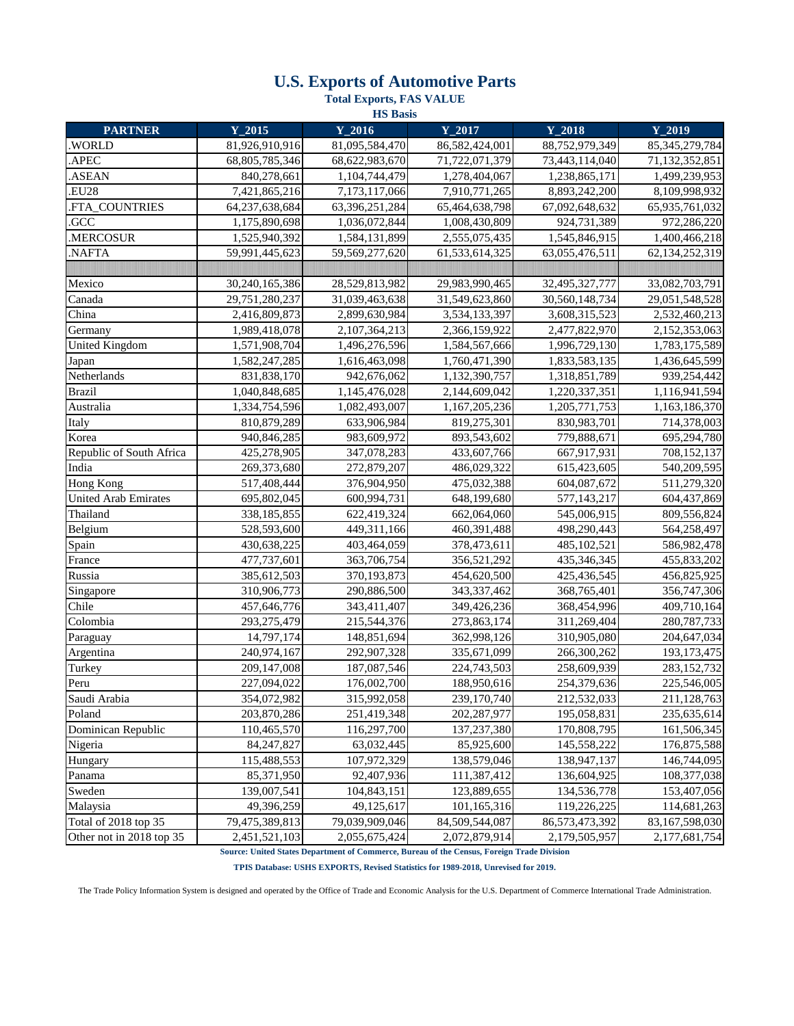## **U.S. Exports of Automotive Parts**

**Total Exports, FAS VALUE**

| <b>HS</b> Basis             |                         |                |                |                |                   |  |  |  |  |
|-----------------------------|-------------------------|----------------|----------------|----------------|-------------------|--|--|--|--|
| <b>PARTNER</b>              | $Y_2015$                | $Y_2016$       | $Y_2017$       | $Y_2018$       | $Y_2019$          |  |  |  |  |
| .WORLD                      | 81,926,910,916          | 81,095,584,470 | 86,582,424,001 | 88,752,979,349 | 85, 345, 279, 784 |  |  |  |  |
| .APEC                       | 68,805,785,346          | 68,622,983,670 | 71,722,071,379 | 73,443,114,040 | 71,132,352,851    |  |  |  |  |
| .ASEAN                      | 840,278,661             | 1,104,744,479  | 1,278,404,067  | 1,238,865,171  | 1,499,239,953     |  |  |  |  |
| .EU28                       | 7,421,865,216           | 7,173,117,066  | 7,910,771,265  | 8,893,242,200  | 8,109,998,932     |  |  |  |  |
| .FTA_COUNTRIES              | 64,237,638,684          | 63,396,251,284 | 65,464,638,798 | 67,092,648,632 | 65,935,761,032    |  |  |  |  |
| .GCC                        | 1,175,890,698           | 1,036,072,844  | 1,008,430,809  | 924,731,389    | 972,286,220       |  |  |  |  |
| .MERCOSUR                   | 1,525,940,392           | 1,584,131,899  | 2,555,075,435  | 1,545,846,915  | 1,400,466,218     |  |  |  |  |
| .NAFTA                      | 59,991,445,623          | 59,569,277,620 | 61,533,614,325 | 63,055,476,511 | 62,134,252,319    |  |  |  |  |
|                             |                         |                |                |                |                   |  |  |  |  |
| Mexico                      | 30,240,165,386          | 28,529,813,982 | 29,983,990,465 | 32,495,327,777 | 33,082,703,791    |  |  |  |  |
| Canada                      | 29,751,280,237          | 31,039,463,638 | 31,549,623,860 | 30,560,148,734 | 29,051,548,528    |  |  |  |  |
| China                       | 2,416,809,873           | 2,899,630,984  | 3,534,133,397  | 3,608,315,523  | 2,532,460,213     |  |  |  |  |
| Germany                     | 1,989,418,078           | 2,107,364,213  | 2,366,159,922  | 2,477,822,970  | 2,152,353,063     |  |  |  |  |
| <b>United Kingdom</b>       | 1,571,908,704           | 1,496,276,596  | 1,584,567,666  | 1,996,729,130  | 1,783,175,589     |  |  |  |  |
| Japan                       | 1,582,247,285           | 1,616,463,098  | 1,760,471,390  | 1,833,583,135  | 1,436,645,599     |  |  |  |  |
| Netherlands                 | 831,838,170             | 942,676,062    | 1,132,390,757  | 1,318,851,789  | 939,254,442       |  |  |  |  |
| <b>Brazil</b>               | 1,040,848,685           | 1,145,476,028  | 2,144,609,042  | 1,220,337,351  | 1,116,941,594     |  |  |  |  |
| Australia                   | 1,334,754,596           | 1,082,493,007  | 1,167,205,236  | 1,205,771,753  | 1,163,186,370     |  |  |  |  |
| Italy                       | 810,879,289             | 633,906,984    | 819,275,301    | 830,983,701    | 714,378,003       |  |  |  |  |
| Korea                       | 940,846,285             | 983,609,972    | 893,543,602    | 779,888,671    | 695,294,780       |  |  |  |  |
| Republic of South Africa    | 425,278,905             | 347,078,283    | 433,607,766    | 667,917,931    | 708,152,137       |  |  |  |  |
| India                       | 269,373,680             | 272,879,207    | 486,029,322    | 615,423,605    | 540,209,595       |  |  |  |  |
| <b>Hong Kong</b>            | 517,408,444             | 376,904,950    | 475,032,388    | 604,087,672    | 511,279,320       |  |  |  |  |
| <b>United Arab Emirates</b> | 695,802,045             | 600,994,731    | 648,199,680    | 577,143,217    | 604,437,869       |  |  |  |  |
| Thailand                    | 338,185,855             | 622,419,324    | 662,064,060    | 545,006,915    | 809,556,824       |  |  |  |  |
| Belgium                     | 528,593,600             | 449,311,166    | 460,391,488    | 498,290,443    | 564,258,497       |  |  |  |  |
| Spain                       | 430,638,225             | 403,464,059    | 378,473,611    | 485,102,521    | 586,982,478       |  |  |  |  |
| France                      | 477,737,601             | 363,706,754    | 356,521,292    | 435,346,345    | 455,833,202       |  |  |  |  |
| Russia                      | 385,612,503             | 370,193,873    | 454,620,500    | 425,436,545    | 456,825,925       |  |  |  |  |
| Singapore                   | 310,906,773             | 290,886,500    | 343,337,462    | 368,765,401    | 356,747,306       |  |  |  |  |
| Chile                       | 457,646,776             | 343,411,407    | 349,426,236    | 368,454,996    | 409,710,164       |  |  |  |  |
| Colombia                    | 293,275,479             | 215,544,376    | 273,863,174    | 311,269,404    | 280, 787, 733     |  |  |  |  |
| Paraguay                    | $\overline{14,797,174}$ | 148,851,694    | 362,998,126    | 310,905,080    | 204,647,034       |  |  |  |  |
| Argentina                   | 240,974,167             | 292,907,328    | 335,671,099    | 266,300,262    | 193, 173, 475     |  |  |  |  |
| Turkey                      | 209,147,008             | 187,087,546    | 224,743,503    | 258,609,939    | 283,152,732       |  |  |  |  |
| Peru                        | 227,094,022             | 176,002,700    | 188,950,616    | 254,379,636    | 225,546,005       |  |  |  |  |
| Saudi Arabia                | 354,072,982             | 315,992,058    | 239,170,740    | 212,532,033    | 211,128,763       |  |  |  |  |
| Poland                      | 203,870,286             | 251,419,348    | 202,287,977    | 195,058,831    | 235,635,614       |  |  |  |  |
| Dominican Republic          | 110,465,570             | 116,297,700    | 137,237,380    | 170,808,795    | 161,506,345       |  |  |  |  |
| Nigeria                     | 84, 247, 827            | 63,032,445     | 85,925,600     | 145,558,222    | 176,875,588       |  |  |  |  |
| Hungary                     | 115,488,553             | 107,972,329    | 138,579,046    | 138,947,137    | 146,744,095       |  |  |  |  |
| Panama                      | 85,371,950              | 92,407,936     | 111,387,412    | 136,604,925    | 108,377,038       |  |  |  |  |
| Sweden                      | 139,007,541             | 104,843,151    | 123,889,655    | 134,536,778    | 153,407,056       |  |  |  |  |
| Malaysia                    | 49,396,259              | 49,125,617     | 101,165,316    | 119,226,225    | 114,681,263       |  |  |  |  |
| Total of 2018 top 35        | 79,475,389,813          | 79,039,909,046 | 84,509,544,087 | 86,573,473,392 | 83,167,598,030    |  |  |  |  |
| Other not in 2018 top 35    | 2,451,521,103           | 2,055,675,424  | 2,072,879,914  | 2,179,505,957  | 2,177,681,754     |  |  |  |  |

**Source: United States Department of Commerce, Bureau of the Census, Foreign Trade Division TPIS Database: USHS EXPORTS, Revised Statistics for 1989-2018, Unrevised for 2019.**

The Trade Policy Information System is designed and operated by the Office of Trade and Economic Analysis for the U.S. Department of Commerce International Trade Administration.